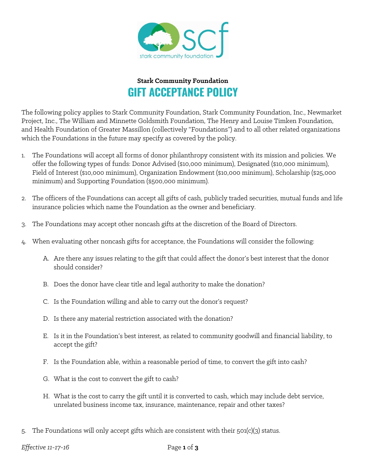

## **Stark Community Foundation GIFT ACCEPTANCE POLICY**

The following policy applies to Stark Community Foundation, Stark Community Foundation, Inc., Newmarket Project, Inc., The William and Minnette Goldsmith Foundation, The Henry and Louise Timken Foundation, and Health Foundation of Greater Massillon (collectively "Foundations") and to all other related organizations which the Foundations in the future may specify as covered by the policy.

- 1. The Foundations will accept all forms of donor philanthropy consistent with its mission and policies. We offer the following types of funds: Donor Advised (\$10,000 minimum), Designated (\$10,000 minimum), Field of Interest (\$10,000 minimum), Organization Endowment (\$10,000 minimum), Scholarship (\$25,000 minimum) and Supporting Foundation (\$500,000 minimum).
- 2. The officers of the Foundations can accept all gifts of cash, publicly traded securities, mutual funds and life insurance policies which name the Foundation as the owner and beneficiary.
- 3. The Foundations may accept other noncash gifts at the discretion of the Board of Directors.
- 4. When evaluating other noncash gifts for acceptance, the Foundations will consider the following:
	- A. Are there any issues relating to the gift that could affect the donor's best interest that the donor should consider?
	- B. Does the donor have clear title and legal authority to make the donation?
	- C. Is the Foundation willing and able to carry out the donor's request?
	- D. Is there any material restriction associated with the donation?
	- E. Is it in the Foundation's best interest, as related to community goodwill and financial liability, to accept the gift?
	- F. Is the Foundation able, within a reasonable period of time, to convert the gift into cash?
	- G. What is the cost to convert the gift to cash?
	- H. What is the cost to carry the gift until it is converted to cash, which may include debt service, unrelated business income tax, insurance, maintenance, repair and other taxes?
- 5. The Foundations will only accept gifts which are consistent with their 501(c)(3) status.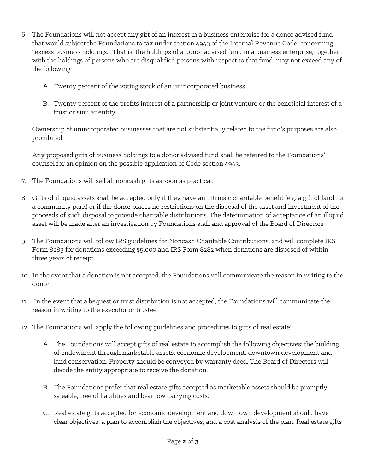- 6. The Foundations will not accept any gift of an interest in a business enterprise for a donor advised fund that would subject the Foundations to tax under section 4943 of the Internal Revenue Code, concerning "excess business holdings." That is, the holdings of a donor advised fund in a business enterprise, together with the holdings of persons who are disqualified persons with respect to that fund, may not exceed any of the following:
	- A. Twenty percent of the voting stock of an unincorporated business
	- B. Twenty percent of the profits interest of a partnership or joint venture or the beneficial interest of a trust or similar entity

Ownership of unincorporated businesses that are not substantially related to the fund's purposes are also prohibited.

Any proposed gifts of business holdings to a donor advised fund shall be referred to the Foundations' counsel for an opinion on the possible application of Code section 4943.

- 7. The Foundations will sell all noncash gifts as soon as practical.
- 8. Gifts of illiquid assets shall be accepted only if they have an intrinsic charitable benefit (e.g. a gift of land for a community park) or if the donor places no restrictions on the disposal of the asset and investment of the proceeds of such disposal to provide charitable distributions. The determination of acceptance of an illiquid asset will be made after an investigation by Foundations staff and approval of the Board of Directors.
- 9. The Foundations will follow IRS guidelines for Noncash Charitable Contributions, and will complete IRS Form 8283 for donations exceeding \$5,000 and IRS Form 8282 when donations are disposed of within three years of receipt.
- 10. In the event that a donation is not accepted, the Foundations will communicate the reason in writing to the donor.
- 11. In the event that a bequest or trust distribution is not accepted, the Foundations will communicate the reason in writing to the executor or trustee.
- 12. The Foundations will apply the following guidelines and procedures to gifts of real estate;
	- A. The Foundations will accept gifts of real estate to accomplish the following objectives: the building of endowment through marketable assets, economic development, downtown development and land conservation. Property should be conveyed by warranty deed. The Board of Directors will decide the entity appropriate to receive the donation.
	- B. The Foundations prefer that real estate gifts accepted as marketable assets should be promptly saleable, free of liabilities and bear low carrying costs.
	- C. Real estate gifts accepted for economic development and downtown development should have clear objectives, a plan to accomplish the objectives, and a cost analysis of the plan. Real estate gifts